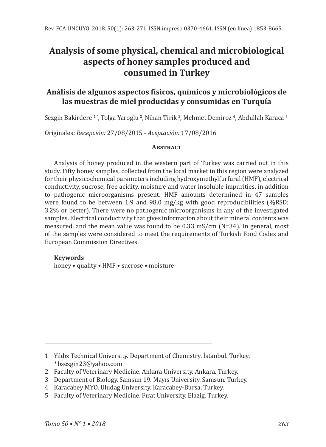# **Analysis of some physical, chemical and microbiological aspects of honey samples produced and consumed in Turkey**

## **Análisis de algunos aspectos físicos, químicos y microbiológicos de las muestras de miel producidas y consumidas en Turquía**

Sezgin Bakirdere ' ", Tolga Yaroglu 4, Nihan Tirik 3, Mehmet Demiroz 4, Abdullah Karaca 5

Originales: *Recepción:* 27/08/2015 - *Aceptación:* 17/08/2016

#### **Abstract**

Analysis of honey produced in the western part of Turkey was carried out in this study. Fifty honey samples, collected from the local market in this region were analyzed for their physicochemical parameters including hydroxymethylfurfural (HMF), electrical conductivity, sucrose, free acidity, moisture and water insoluble impurities, in addition to pathogenic microorganisms present. HMF amounts determined in 47 samples were found to be between 1.9 and 98.0 mg/kg with good reproducibilities (%RSD: 3.2% or better). There were no pathogenic microorganisms in any of the investigated samples. Electrical conductivity that gives information about their mineral contents was measured, and the mean value was found to be 0.33 mS/cm (N=34). In general, most of the samples were considered to meet the requirements of Turkish Food Codex and European Commission Directives.

#### **Keywords**

honey • quality • HMF • sucrose • moisture

3 Department of Biology. Samsun 19. Mayıs University. Samsun. Turkey.

<sup>1</sup> Yıldız Technical University. Department of Chemistry. İstanbul. Turkey. \*bsezgin23@yahoo.com

<sup>2</sup> Faculty of Veterinary Medicine. Ankara University. Ankara. Turkey.

<sup>4</sup> Karacabey MYO. Uludag University. Karacabey-Bursa. Turkey.

<sup>5</sup> Faculty of Veterinary Medicine. Fırat University. Elazig. Turkey.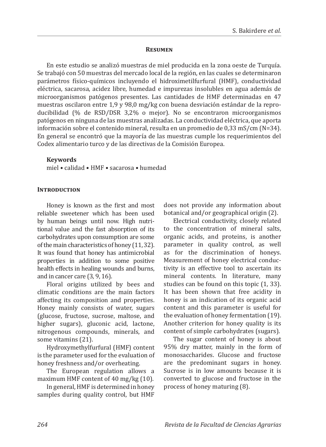#### **Resumen**

En este estudio se analizó muestras de miel producida en la zona oeste de Turquía. Se trabajó con 50 muestras del mercado local de la región, en las cuales se determinaron parámetros físico-químicos incluyendo el hidroximetilfurfural (HMF), conductividad eléctrica, sacarosa, acidez libre, humedad e impurezas insolubles en agua además de microorganismos patógenos presentes. Las cantidades de HMF determinadas en 47 muestras oscilaron entre 1,9 y 98,0 mg/kg con buena desviación estándar de la reproducibilidad (% de RSD/DSR 3,2% o mejor). No se encontraron microorganismos patógenos en ninguna de las muestras analizadas. La conductividad eléctrica, que aporta información sobre el contenido mineral, resulta en un promedio de 0,33 mS/cm (N=34). En general se encontró que la mayoría de las muestras cumple los requerimientos del Codex alimentario turco y de las directivas de la Comisión Europea.

#### **Keywords**

miel • calidad • HMF • sacarosa • humedad

#### **INTRODUCTION**

Honey is known as the first and most reliable sweetener which has been used by human beings until now. High nutritional value and the fast absorption of its carbohydrates upon consumption are some of the main characteristics of honey (11, 32). It was found that honey has antimicrobial properties in addition to some positive health effects in healing wounds and burns, and in cancer care (3, 9, 16).

Floral origins utilized by bees and climatic conditions are the main factors affecting its composition and properties. Honey mainly consists of water, sugars (glucose, fructose, sucrose, maltose, and higher sugars), gluconic acid, lactone, nitrogenous compounds, minerals, and some vitamins (21).

Hydroxymethylfurfural (HMF) content is the parameter used for the evaluation of honey freshness and/or overheating.

The European regulation allows a maximum HMF content of 40 mg/kg (10).

In general, HMF is determined in honey samples during quality control, but HMF

does not provide any information about botanical and/or geographical origin (2).

Electrical conductivity, closely related to the concentration of mineral salts, organic acids, and proteins, is another parameter in quality control, as well as for the discrimination of honeys. Measurement of honey electrical conductivity is an effective tool to ascertain its mineral contents. In literature, many studies can be found on this topic (1, 33). It has been shown that free acidity in honey is an indication of its organic acid content and this parameter is useful for the evaluation of honey fermentation (19). Another criterion for honey quality is its content of simple carbohydrates (sugars).

The sugar content of honey is about 95% dry matter, mainly in the form of monosaccharides. Glucose and fructose are the predominant sugars in honey. Sucrose is in low amounts because it is converted to glucose and fructose in the process of honey maturing (8).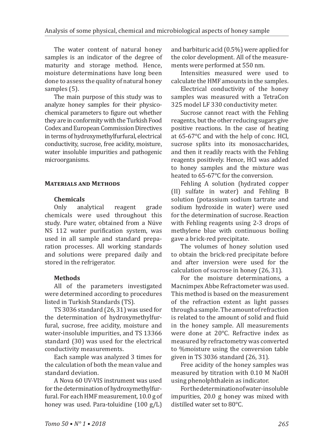The water content of natural honey samples is an indicator of the degree of maturity and storage method. Hence, moisture determinations have long been done to assess the quality of natural honey samples (5).

The main purpose of this study was to analyze honey samples for their physicochemical parameters to figure out whether they are in conformity with the Turkish Food Codex and European Commission Directives in terms of hydroxymethylfurfural, electrical conductivity, sucrose, free acidity, moisture, water insoluble impurities and pathogenic microorganisms.

#### **Materials and Methods**

#### **Chemicals**

Only analytical reagent grade chemicals were used throughout this study. Pure water, obtained from a Nüve NS 112 water purification system, was used in all sample and standard preparation processes. All working standards and solutions were prepared daily and stored in the refrigerator.

## **Methods**

All of the parameters investigated were determined according to procedures listed in Turkish Standards (TS).

TS 3036 standard (26, 31) was used for the determination of hydroxymethylfurfural, sucrose, free acidity, moisture and water-insoluble impurities, and TS 13366 standard (30) was used for the electrical conductivity measurements.

Each sample was analyzed 3 times for the calculation of both the mean value and standard deviation.

A Nova 60 UV-VIS instrument was used for the determination of hydroxymethylfurfural. For each HMF measurement, 10.0 g of honey was used. Para-toluidine (100 g/L)

and barbituric acid (0.5%) were applied for the color development. All of the measurements were performed at 550 nm.

Intensities measured were used to calculate the HMF amounts in the samples.

Electrical conductivity of the honey samples was measured with a TetraCon 325 model LF 330 conductivity meter.

Sucrose cannot react with the Fehling reagents, but the other reducing sugars give positive reactions. In the case of heating at 65-67°C and with the help of conc. HCl, sucrose splits into its monosaccharides, and then it readily reacts with the Fehling reagents positively. Hence, HCl was added to honey samples and the mixture was heated to 65-67°C for the conversion.

Fehling A solution (hydrated copper (II) sulfate in water) and Fehling B solution (potassium sodium tartrate and sodium hydroxide in water) were used for the determination of sucrose. Reaction with Fehling reagents using 2-3 drops of methylene blue with continuous boiling gave a brick-red precipitate.

The volumes of honey solution used to obtain the brick-red precipitate before and after inversion were used for the calculation of sucrose in honey (26, 31).

For the moisture determinations, a Macnimpex Abbe Refractometer was used. This method is based on the measurement of the refraction extent as light passes through a sample. The amount of refraction is related to the amount of solid and fluid in the honey sample. All measurements were done at 20°C. Refractive index as measured by refractometry was converted to %moisture using the conversion table given in TS 3036 standard (26, 31).

Free acidity of the honey samples was measured by titration with 0.10 M NaOH using phenolphthalein as indicator.

For the determination of water-insoluble impurities, 20.0 g honey was mixed with distilled water set to 80°C.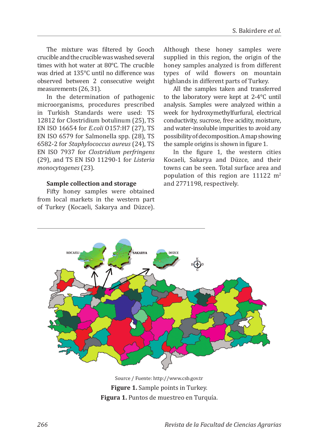The mixture was filtered by Gooch crucible and the crucible was washed several times with hot water at 80°C. The crucible was dried at 135°C until no difference was observed between 2 consecutive weight measurements (26, 31).

In the determination of pathogenic microorganisms, procedures prescribed in Turkish Standards were used: TS 12812 for Clostridium botulinum (25), TS EN ISO 16654 for *E.coli* O157:H7 (27), TS EN ISO 6579 for Salmonella spp. (28), TS 6582-2 for *Staphylococcus aureus* (24), TS EN ISO 7937 for *Clostridium perfringens* (29), and TS EN ISO 11290-1 for *Listeria monocytogenes* (23).

#### **Sample collection and storage**

Fifty honey samples were obtained from local markets in the western part of Turkey (Kocaeli, Sakarya and Düzce). Although these honey samples were supplied in this region, the origin of the honey samples analyzed is from different types of wild flowers on mountain highlands in different parts of Turkey.

All the samples taken and transferred to the laboratory were kept at 2-4°C until analysis. Samples were analyzed within a week for hydroxymethylfurfural, electrical conductivity, sucrose, free acidity, moisture, and water-insoluble impurities to avoid any possibility of decomposition. A map showing the sample origins is shown in figure 1.

In the figure 1, the western cities Kocaeli, Sakarya and Düzce, and their towns can be seen. Total surface area and population of this region are  $11122 \text{ m}^2$ and 2771198, respectively.



Source / Fuente: http://www.csb.gov.tr **Figure 1.** Sample points in Turkey. **Figura 1.** Puntos de muestreo en Turquía.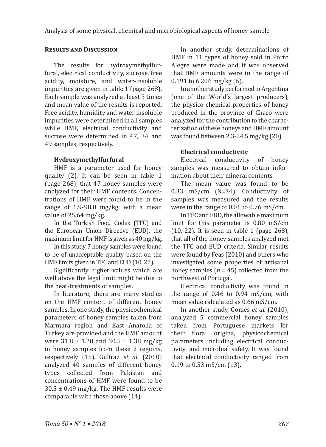#### **Results and Discussion**

The results for hydroxymethylfurfural, electrical conductivity, sucrose, free acidity, moisture, and water-insoluble impurities are given in table 1 (page 268). Each sample was analyzed at least 3 times and mean value of the results is reported. Free acidity, humidity and water insoluble impurities were determined in all samples while HMF, electrical conductivity and sucrose were determined in 47, 34 and 49 samples, respectively.

#### **Hydroxymethylfurfural**

HMF is a parameter used for honey quality (2). It can be seen in table 1 (page 268), that 47 honey samples were analyzed for their HMF contents. Concentrations of HMF were found to be in the range of 1.9-98.0 mg/kg, with a mean value of 25.64 mg/kg.

In the Turkish Food Codex (TFC) and the European Union Directive (EUD), the maximum limit for HMF is given as 40 mg/kg.

In this study, 7 honey samples were found to be of unacceptable quality based on the HMF limits given in TFC and EUD (10, 22).

Significantly higher values which are well above the legal limit might be due to the heat-treatments of samples.

In literature, there are many studies on the HMF content of different honey samples. In one study, the physicochemical parameters of honey samples taken from Marmara region and East Anatolia of Turkey are provided and the HMF amount were 31.8 ± 1.20 and 30.5 ± 1.38 mg/kg in honey samples from these 2 regions, respectively (15). Gulfraz *et al.* (2010) analyzed 40 samples of different honey<br>types collected from Pakistan and types collected from Pakistan concentrations of HMF were found to be  $30.5 \pm 0.49$  mg/kg. The HMF results were comparable with those above (14).

In another study, determinations of HMF in 11 types of honey sold in Porto Alegre were made and it was observed that HMF amounts were in the range of 0.191 to 6.206 mg/kg (6).

In another study performed in Argentina (one of the World's largest producers), the physico-chemical properties of honey produced in the province of Chaco were analyzed for the contribution to the characterization of these honeys and HMF amount was found between 2.3-24.5 mg/kg (20).

## **Electrical conductivity**

Electrical conductivity of honey samples was measured to obtain information about their mineral contents.

The mean value was found to be 0.33 mS/cm (N=34). Conductivity of samples was measured and the results were in the range of 0.01 to 0.76 mS/cm.

In TFC and EUD, the allowable maximum limit for this parameter is 0.80 mS/cm (10, 22). It is seen in table 1 (page 268), that all of the honey samples analyzed met the TFC and EUD criteria. Similar results were found by Feas (2010) and others who investigated some properties of artisanal honey samples  $(n = 45)$  collected from the northwest of Portugal.

Electrical conductivity was found in the range of 0.46 to 0.94 mS/cm, with mean value calculated as 0.66 mS/cm.

In another study, Gomes *et al.* (2010), analyzed 5 commercial honey samples taken from Portuguese markets for<br>their floral origins, physicochemical their floral origins, parameters including electrical conductivity, and microbial safety. It was found that electrical conductivity ranged from 0.19 to 0.53 mS/cm (13).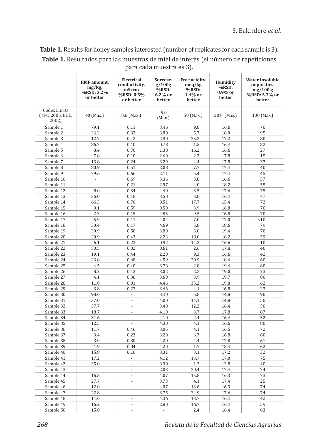| <b>Table 1.</b> Results for honey samples interested (number of replicates for each sample is 3). |
|---------------------------------------------------------------------------------------------------|
| Table 1. Resultados para las muestras de miel de interés (el número de repeticiones               |
| para cada muestra es 3).                                                                          |

|                                           | <b>HMF</b> amount.<br>mg/kg,<br>%RSD: 3.2%<br>or better | Electrical<br>conductivity.<br>mS/cm<br>%RSD: 0.5%<br>or better | Sucrose.<br>g/100g<br>%RSD:<br>6.2% or<br>better | Free acidity.<br>meq/kg<br>%RSD:<br>1.4% or<br>better | Humidity<br>%RSD:<br>$0.9\%$ or<br>better | Water insoluble<br>impurities.<br>mg/100 g<br>%RSD: 5.7% or<br>better |
|-------------------------------------------|---------------------------------------------------------|-----------------------------------------------------------------|--------------------------------------------------|-------------------------------------------------------|-------------------------------------------|-----------------------------------------------------------------------|
| Codex Limits<br>(TFC, 2005, EUD,<br>2002) | 40 (Max.)                                               | $0.8$ (Max.)                                                    | 5.0<br>(Max.)                                    | 50 (Max.)                                             | 20% (Max.)                                | 100 (Max.)                                                            |
| Sample 1                                  | 79.1                                                    | 0.11                                                            | 3.46                                             | 9.8                                                   | 16.6                                      | 70                                                                    |
| Sample 2                                  | 36.2                                                    | 0.32                                                            | 3.80                                             | 5.7                                                   | 18.0                                      | 95                                                                    |
| Sample 3                                  | 12.7                                                    | 0.42                                                            | 2.90                                             | 25.2                                                  | 17.2                                      | 80                                                                    |
| Sample 4                                  | 86.7                                                    | 0.10                                                            | 0.78                                             | 1.5                                                   | 16.4                                      | 82                                                                    |
| Sample 5                                  | 8.4                                                     | 0.70                                                            | 1.38                                             | 16.2                                                  | 16.6                                      | 27                                                                    |
| Sample 6                                  | 7.8                                                     | 0.10                                                            | 2.60                                             | 2.7                                                   | 17.8                                      | 15                                                                    |
| Sample 7                                  | 13.8                                                    | 0.24                                                            | 3.29                                             | 4.4                                                   | 17.8                                      | 37                                                                    |
| Sample 8                                  | 80.9                                                    | 0.51                                                            | 2.08                                             | 7.7                                                   | 17.4                                      | 40                                                                    |
| Sample 9                                  | 79.6                                                    | 0.66                                                            | 2.11                                             | 5.4                                                   | 17.4                                      | 45                                                                    |
| Sample 10                                 | ÷.                                                      | 0.69                                                            | 3.36                                             | 3.8                                                   | 16.6                                      | 57                                                                    |
| Sample 11                                 | ÷                                                       | 0.21                                                            | 2.97                                             | 4.0                                                   | 18.2                                      | 55                                                                    |
| Sample 12                                 | 8.0                                                     | 0.34                                                            | 4.40                                             | 3.5                                                   | 17.6                                      | 75                                                                    |
| Sample 13                                 | 36.0                                                    | 0.18                                                            | 3.50                                             | 3.8                                                   | 16.4                                      | 77                                                                    |
| Sample 14                                 | 66.3                                                    | 0.76                                                            | 0.51                                             | 17.7                                                  | 15.4                                      | 72                                                                    |
| Sample 15                                 | 9.1                                                     | 0.59                                                            | 0.50                                             | 3.9                                                   | 16.8                                      | 70                                                                    |
| Sample 16                                 | 2.3                                                     | 0.15                                                            | 4.85                                             | 9.5                                                   | 16.8                                      | 70                                                                    |
| Sample 17                                 | 5.9                                                     | 0.11                                                            | 4.04                                             | 7.0                                                   | 17.0                                      | 10                                                                    |
| Sample 18                                 | 30.4                                                    | 0.17                                                            | 4.69                                             | 5.8                                                   | 18.6                                      | 79                                                                    |
| Sample 19                                 | 30.9                                                    | 0.50                                                            | 3.80                                             | 3.8                                                   | 19.4                                      | 70                                                                    |
| Sample 20                                 | 30.9                                                    | 0.43                                                            | 2.23                                             | 18.0                                                  | 18.2                                      | 59                                                                    |
| Sample 21                                 | 6.1                                                     | 0.23                                                            | 0.92                                             | 14.3                                                  | 16.6                                      | 10                                                                    |
| Sample 22                                 | 50.5                                                    | 0.02                                                            | 0.61                                             | 2.6                                                   | 17.8                                      | 46                                                                    |
| Sample 23                                 | 19.1                                                    | 0.44                                                            | 2.20                                             | 9.3                                                   | 16.6                                      | 42                                                                    |
| Sample 24                                 | 23.8                                                    | 0.68                                                            | 4.59                                             | 20.9                                                  | 18.4                                      | 60                                                                    |
| Sample 25                                 | 4.5                                                     | 0.40                                                            | 3.76                                             | 2.8                                                   | 19.4                                      | 80                                                                    |
| Sample 26                                 | 8.2                                                     | 0.43                                                            | 3.02                                             | 2.2                                                   | 19.0                                      | 23                                                                    |
| Sample 27                                 | 4.1                                                     | 0.30                                                            | 3.60                                             | 3.9                                                   | 19.7                                      | 80                                                                    |
| Sample 28                                 | 11.8                                                    | 0.01                                                            | 4.46                                             | 33.2                                                  | 19.8                                      | 62                                                                    |
| Sample 29                                 | 3.8                                                     | 0.23                                                            | 3.46                                             | 4.1                                                   | 16.8                                      | 23                                                                    |
| Sample 30                                 | 98.0                                                    | ÷,                                                              | 3.40                                             | 5.8                                                   | 14.8                                      | 90                                                                    |
| Sample 31                                 | 37.0                                                    | $\overline{\phantom{a}}$                                        | 4.00                                             | 14.1                                                  | 14.8                                      | 50                                                                    |
| Sample 32                                 | 37.7                                                    | L.                                                              | 3.40                                             | 12.2                                                  | 16.4                                      | 50                                                                    |
| Sample 33                                 | 18.7                                                    | ÷,                                                              | 4.10                                             | 3.7                                                   | 17.8                                      | 87                                                                    |
| Sample 34                                 | 31.6                                                    | L.                                                              | 4.10                                             | 2.4                                                   | 16.4                                      | 52                                                                    |
| Sample 35                                 | 12.5                                                    | ä,                                                              | 4.30                                             | 4.1                                                   | 16.6                                      | 80                                                                    |
| Sample 36                                 | 11.7                                                    | 0.46                                                            | 3.05                                             | 4.1                                                   | 16.5                                      | 72                                                                    |
| Sample 37                                 | 3.4                                                     | 0.23                                                            | 3.20                                             | 6.7                                                   | 16.8                                      | 60                                                                    |
| Sample 38                                 | 3.0                                                     | 0.30                                                            | 4.20                                             | 4.4                                                   | 17.8                                      | 61                                                                    |
| Sample 39                                 | 1.9                                                     | 0.04                                                            | 4.20                                             | 1.7                                                   | 18.4                                      | 62                                                                    |
| Sample 40                                 | 15.8                                                    | 0.10                                                            | 3.31                                             | 3.1                                                   | 17.2                                      | 32                                                                    |
| Sample 41                                 | 17.2                                                    | $\overline{\phantom{a}}$                                        | 4.12                                             | 13.7                                                  | 17.0                                      | 75                                                                    |
| Sample 42                                 | 35.0                                                    | ÷,                                                              | 3.90                                             | 1.3                                                   | 13.8                                      | 40                                                                    |
| Sample 43                                 | $\mathcal{L}_{\mathcal{A}}$                             | ÷,                                                              | 2.03                                             | 20.4                                                  | 17.4                                      | 74                                                                    |
| Sample 44                                 | 16.3                                                    | ÷,                                                              | 4.07                                             | 15.8                                                  | 16.3                                      | 73                                                                    |
| Sample 45                                 | 27.7                                                    | L.                                                              | 3.73                                             | 4.1                                                   | 17.4                                      | 25                                                                    |
| Sample 46                                 | 12.0                                                    | $\sim$                                                          | 4.07                                             | 13.6                                                  | 16.3                                      | 74                                                                    |
| Sample 47                                 | 22.8                                                    | L.                                                              | 3.75                                             | 24.9                                                  | 17.6                                      | 74                                                                    |
|                                           | 14.0                                                    |                                                                 |                                                  |                                                       | 16.4                                      | 42                                                                    |
| Sample 48                                 |                                                         | $\overline{\phantom{a}}$<br>ä,                                  | 4.36                                             | 13.7                                                  |                                           | 59                                                                    |
| Sample 49                                 | 16.2                                                    |                                                                 | 2.80                                             | 16.7                                                  | 16.4                                      |                                                                       |
| Sample 50                                 | 15.8                                                    | Ĭ.                                                              | L.                                               | 2.4                                                   | 16.4                                      | 83                                                                    |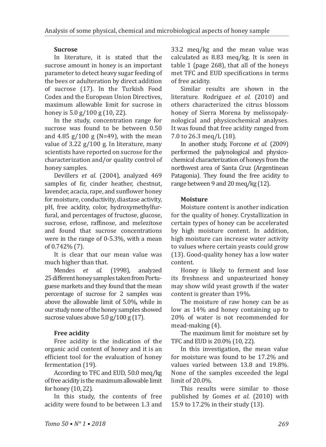## **Sucrose**

In literature, it is stated that the sucrose amount in honey is an important parameter to detect heavy sugar feeding of the bees or adulteration by direct addition of sucrose (17). In the Turkish Food Codex and the European Union Directives, maximum allowable limit for sucrose in honey is 5.0 g/100 g (10, 22).

In the study, concentration range for sucrose was found to be between 0.50 and 4.85 g/100 g (N=49), with the mean value of 3.22 g/100 g. In literature, many scientists have reported on sucrose for the characterization and/or quality control of honey samples.

Devillers *et al.* (2004), analyzed 469 samples of fir, cinder heather, chestnut, lavender, acacia, rape, and sunflower honey for moisture, conductivity, diastase activity, pH, free acidity, color, hydroxymethylfurfural, and percentages of fructose, glucose, sucrose, erlose, raffinose, and melezitose and found that sucrose concentrations were in the range of 0-5.3%, with a mean of 0.742% (7).

It is clear that our mean value was much higher than that.<br>Mendes *et al.* 

Mendes *et al.* (1998), analyzed 25different honey samples taken from Portuguese markets and they found that the mean percentage of sucrose for 2 samples was above the allowable limit of 5.0%, while in our study none of the honey samples showed sucrose values above 5.0 g/100 g (17).

## **Free acidity**

Free acidity is the indication of the organic acid content of honey and it is an efficient tool for the evaluation of honey fermentation (19).

According to TFC and EUD, 50.0 meq/kg of free acidity is the maximum allowable limit for honey (10, 22).

In this study, the contents of free acidity were found to be between 1.3 and

33.2 meq/kg and the mean value was calculated as 8.83 meq/kg. It is seen in table 1 (page 268), that all of the honeys met TFC and EUD specifications in terms of free acidity.

Similar results are shown in the literature. Rodriguez *et al.* (2010) and others characterized the citrus blossom honey of Sierra Morena by melissopalynological and physicochemical analyses. It was found that free acidity ranged from 7.0 to 26.3 meq/L (18).

In another study, Forcone *et al.* (2009) performed the palynological and physicochemical characterization of honeys from the northwest area of Santa Cruz (Argentinean Patagonia). They found the free acidity to range between 9 and 20 meq/kg (12).

## **Moisture**

Moisture content is another indication for the quality of honey. Crystallization in certain types of honey can be accelerated by high moisture content. In addition, high moisture can increase water activity to values where certain yeasts could grow (13). Good-quality honey has a low water content.

Honey is likely to ferment and lose its freshness and unpasteurized honey may show wild yeast growth if the water content is greater than 19%.

The moisture of raw honey can be as low as 14% and honey containing up to 20% of water is not recommended for mead-making (4).

The maximum limit for moisture set by TFC and EUD is 20.0% (10, 22).

In this investigation, the mean value for moisture was found to be 17.2% and values varied between 13.8 and 19.8%. None of the samples exceeded the legal limit of 20.0%.

This results were similar to those published by Gomes *et al.* (2010) with 15.9 to 17.2% in their study (13).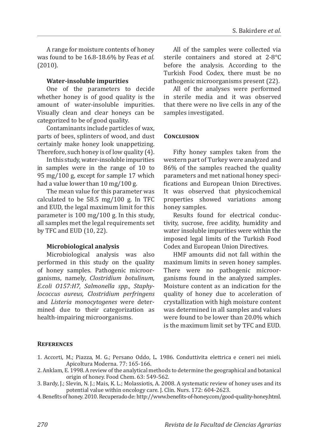A range for moisture contents of honey was found to be 16.8-18.6% by Feas *et al.* (2010).

#### **Water-insoluble impurities**

One of the parameters to decide whether honey is of good quality is the amount of water-insoluble impurities. Visually clean and clear honeys can be categorized to be of good quality.

Contaminants include particles of wax, parts of bees, splinters of wood, and dust certainly make honey look unappetizing. Therefore, such honey is of low quality (4).

In this study, water-insoluble impurities in samples were in the range of 10 to 95 mg/100 g, except for sample 17 which had a value lower than 10 mg/100 g.

The mean value for this parameter was calculated to be 58.5 mg/100 g. In TFC and EUD, the legal maximum limit for this parameter is 100 mg/100 g. In this study, all samples met the legal requirements set by TFC and EUD (10, 22).

#### **Microbiological analysis**

Microbiological analysis was also performed in this study on the quality of honey samples. Pathogenic microorganisms, namely, *Clostridium botulinum, E.coli O157:H7, Salmonella spp., Staphylococcus aureus, Clostridium perfringens*  and *Listeria monocytogenes* were determined due to their categorization as health-impairing microorganisms.

All of the samples were collected via sterile containers and stored at 2-8°C before the analysis. According to the Turkish Food Codex, there must be no pathogenic microorganisms present (22).

All of the analyses were performed in sterile media and it was observed that there were no live cells in any of the samples investigated.

#### **Conclusion**

Fifty honey samples taken from the western part of Turkey were analyzed and 86% of the samples reached the quality parameters and met national honey specifications and European Union Directives. It was observed that physicochemical properties showed variations among honey samples.

Results found for electrical conductivity, sucrose, free acidity, humidity and water insoluble impurities were within the imposed legal limits of the Turkish Food Codex and European Union Directives.

HMF amounts did not fall within the maximum limits in seven honey samples. There were no pathogenic microorganisms found in the analyzed samples. Moisture content as an indication for the quality of honey due to acceleration of crystallization with high moisture content was determined in all samples and values were found to be lower than 20.0% which is the maximum limit set by TFC and EUD.

#### **References**

- 1. Accorti, M.; Piazza, M. G.; Persano Oddo, L. 1986. Conduttivita elettrica e ceneri nei mieli. Apicoltura Moderna. 77: 165-166.
- 2. Anklam, E. 1998. A review of the analytical methods to determine the geographical and botanical origin of honey. Food Chem. 63: 549-562.
- 3. Bardy, J.; Slevin, N. J.; Mais, K. L.; Molassiotis, A. 2008. A systematic review of honey uses and its potential value within oncology care. J. Clin. Nurs. 172: 604-2623.
- 4. Benefits of honey. 2010. Recuperado de: http://www.benefits-of-honey.com/good-quality-honey.html.